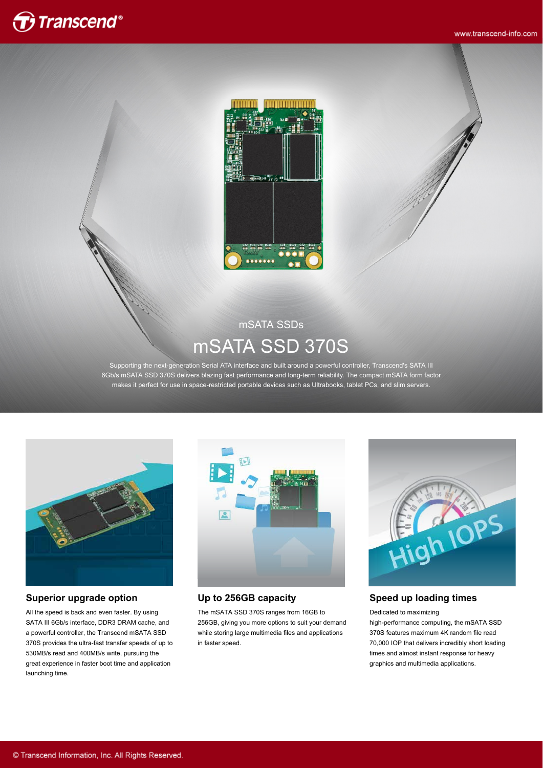

www.transcend-info.com



# mSATA SSDs mSATA SSD 370S

Supporting the next-generation Serial ATA interface and built around a powerful controller, Transcend's SATA III 6Gb/s mSATA SSD 370S delivers blazing fast performance and long-term reliability. The compact mSATA form factor makes it perfect for use in space-restricted portable devices such as Ultrabooks, tablet PCs, and slim servers.



### **Superior upgrade option**

All the speed is back and even faster. By using SATA III 6Gb/s interface, DDR3 DRAM cache, and a powerful controller, the Transcend mSATA SSD 370S provides the ultra-fast transfer speeds of up to 530MB/s read and 400MB/s write, pursuing the great experience in faster boot time and application launching time.



### **Up to 256GB capacity**

The mSATA SSD 370S ranges from 16GB to 256GB, giving you more options to suit your demand while storing large multimedia files and applications in faster speed.



### **Speed up loading times**

#### Dedicated to maximizing

high-performance computing, the mSATA SSD 370S features maximum 4K random file read 70,000 IOP that delivers incredibly short loading times and almost instant response for heavy graphics and multimedia applications.